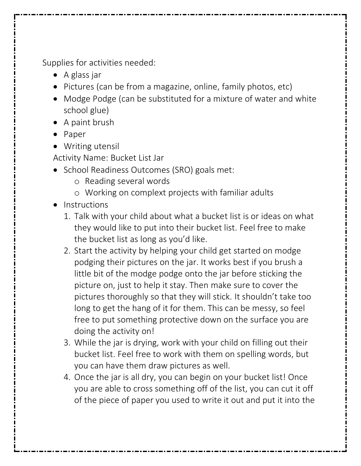Supplies for activities needed:

- A glass jar
- Pictures (can be from a magazine, online, family photos, etc)
- Modge Podge (can be substituted for a mixture of water and white school glue)
- A paint brush
- Paper
- Writing utensil

Activity Name: Bucket List Jar

- School Readiness Outcomes (SRO) goals met:
	- o Reading several words
	- o Working on complext projects with familiar adults
- Instructions
	- 1. Talk with your child about what a bucket list is or ideas on what they would like to put into their bucket list. Feel free to make the bucket list as long as you'd like.
	- 2. Start the activity by helping your child get started on modge podging their pictures on the jar. It works best if you brush a little bit of the modge podge onto the jar before sticking the picture on, just to help it stay. Then make sure to cover the pictures thoroughly so that they will stick. It shouldn't take too long to get the hang of it for them. This can be messy, so feel free to put something protective down on the surface you are doing the activity on!
	- 3. While the jar is drying, work with your child on filling out their bucket list. Feel free to work with them on spelling words, but you can have them draw pictures as well.
	- 4. Once the jar is all dry, you can begin on your bucket list! Once you are able to cross something off of the list, you can cut it off of the piece of paper you used to write it out and put it into the